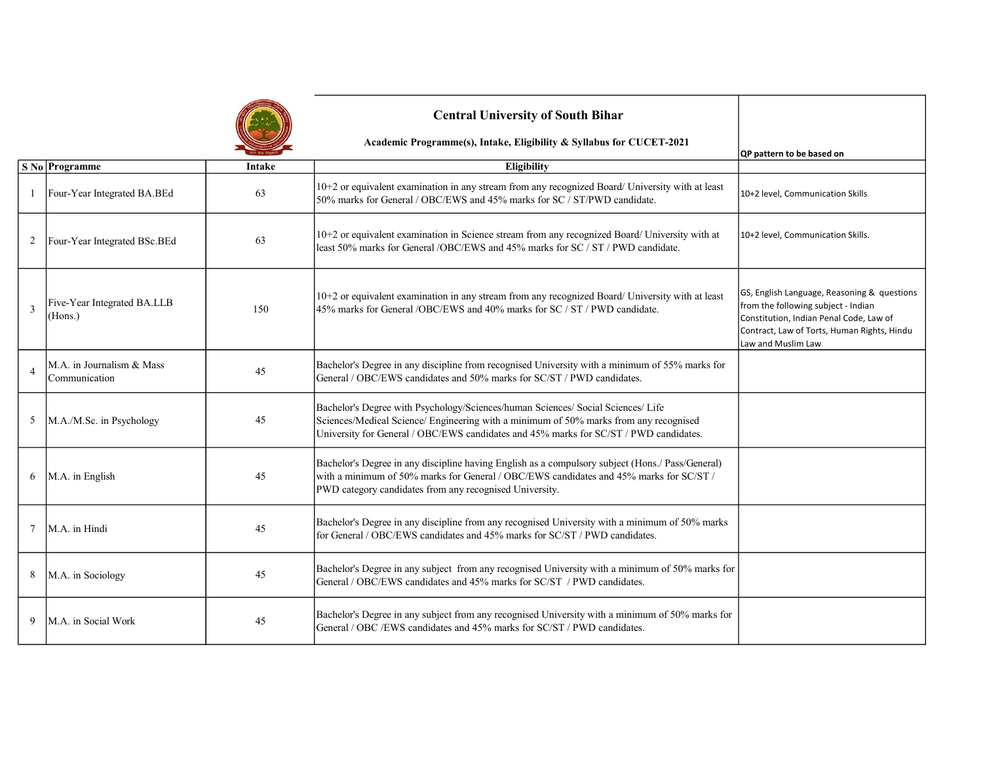

## Central University of South Bihar

Academic Programme(s), Intake, Eligibility & Syllabus for CUCET-2021

|                |                                            |        |                                                                                                                                                                                                                                                                    | QP pattern to be based on                                                                                                                                                                          |
|----------------|--------------------------------------------|--------|--------------------------------------------------------------------------------------------------------------------------------------------------------------------------------------------------------------------------------------------------------------------|----------------------------------------------------------------------------------------------------------------------------------------------------------------------------------------------------|
|                | S No Programme                             | Intake | Eligibility                                                                                                                                                                                                                                                        |                                                                                                                                                                                                    |
|                | Four-Year Integrated BA.BEd                | 63     | 10+2 or equivalent examination in any stream from any recognized Board/ University with at least<br>50% marks for General / OBC/EWS and 45% marks for SC / ST/PWD candidate.                                                                                       | 10+2 level, Communication Skills                                                                                                                                                                   |
| 2              | Four-Year Integrated BSc.BEd               | 63     | 10+2 or equivalent examination in Science stream from any recognized Board/ University with at<br>least 50% marks for General/OBC/EWS and 45% marks for SC / ST / PWD candidate.                                                                                   | 10+2 level, Communication Skills.                                                                                                                                                                  |
| 3              | Five-Year Integrated BA.LLB<br>(Hons.)     | 150    | 10+2 or equivalent examination in any stream from any recognized Board/ University with at least<br>45% marks for General /OBC/EWS and 40% marks for SC / ST / PWD candidate.                                                                                      | GS, English Language, Reasoning & questions<br>from the following subject - Indian<br>Constitution, Indian Penal Code, Law of<br>Contract, Law of Torts, Human Rights, Hindu<br>Law and Muslim Law |
| $\overline{A}$ | M.A. in Journalism & Mass<br>Communication | 45     | Bachelor's Degree in any discipline from recognised University with a minimum of 55% marks for<br>General / OBC/EWS candidates and 50% marks for SC/ST / PWD candidates.                                                                                           |                                                                                                                                                                                                    |
| 5              | M.A./M.Sc. in Psychology                   | 45     | Bachelor's Degree with Psychology/Sciences/human Sciences/ Social Sciences/ Life<br>Sciences/Medical Science/ Engineering with a minimum of 50% marks from any recognised<br>University for General / OBC/EWS candidates and 45% marks for SC/ST / PWD candidates. |                                                                                                                                                                                                    |
| 6              | M.A. in English                            | 45     | Bachelor's Degree in any discipline having English as a compulsory subject (Hons./ Pass/General)<br>with a minimum of 50% marks for General / OBC/EWS candidates and 45% marks for SC/ST /<br>PWD category candidates from any recognised University.              |                                                                                                                                                                                                    |
| 7              | M.A. in Hindi                              | 45     | Bachelor's Degree in any discipline from any recognised University with a minimum of 50% marks<br>for General / OBC/EWS candidates and 45% marks for SC/ST / PWD candidates.                                                                                       |                                                                                                                                                                                                    |
| 8              | M.A. in Sociology                          | 45     | Bachelor's Degree in any subject from any recognised University with a minimum of 50% marks for<br>General / OBC/EWS candidates and 45% marks for SC/ST / PWD candidates.                                                                                          |                                                                                                                                                                                                    |
| 9              | M.A. in Social Work                        | 45     | Bachelor's Degree in any subject from any recognised University with a minimum of 50% marks for<br>General / OBC /EWS candidates and 45% marks for SC/ST / PWD candidates.                                                                                         |                                                                                                                                                                                                    |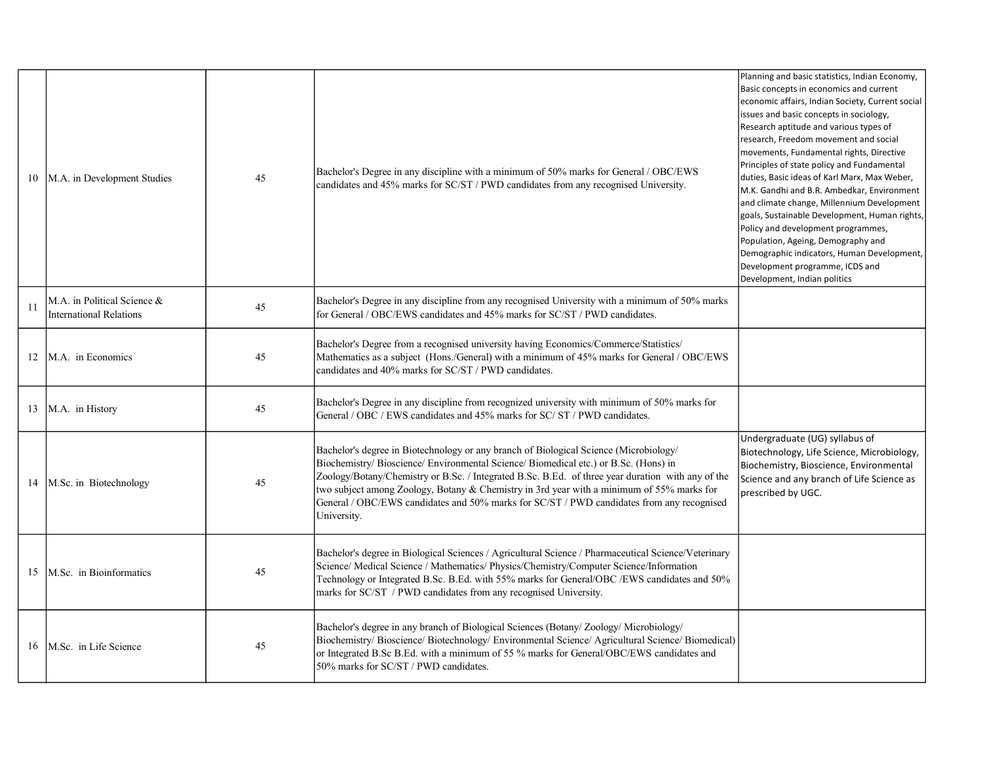| 10 | M.A. in Development Studies                            | 45 | Bachelor's Degree in any discipline with a minimum of 50% marks for General / OBC/EWS<br>candidates and 45% marks for SC/ST / PWD candidates from any recognised University.                                                                                                                                                                                                                                                                                                                | Planning and basic statistics, Indian Economy,<br>Basic concepts in economics and current<br>economic affairs, Indian Society, Current social<br>issues and basic concepts in sociology,<br>Research aptitude and various types of<br>research, Freedom movement and social<br>movements, Fundamental rights, Directive<br>Principles of state policy and Fundamental<br>duties, Basic ideas of Karl Marx, Max Weber,<br>M.K. Gandhi and B.R. Ambedkar, Environment<br>and climate change, Millennium Development<br>goals, Sustainable Development, Human rights,<br>Policy and development programmes,<br>Population, Ageing, Demography and<br>Demographic indicators, Human Development,<br>Development programme, ICDS and<br>Development, Indian politics |
|----|--------------------------------------------------------|----|---------------------------------------------------------------------------------------------------------------------------------------------------------------------------------------------------------------------------------------------------------------------------------------------------------------------------------------------------------------------------------------------------------------------------------------------------------------------------------------------|-----------------------------------------------------------------------------------------------------------------------------------------------------------------------------------------------------------------------------------------------------------------------------------------------------------------------------------------------------------------------------------------------------------------------------------------------------------------------------------------------------------------------------------------------------------------------------------------------------------------------------------------------------------------------------------------------------------------------------------------------------------------|
| 11 | M.A. in Political Science &<br>International Relations | 45 | Bachelor's Degree in any discipline from any recognised University with a minimum of 50% marks<br>for General / OBC/EWS candidates and 45% marks for SC/ST / PWD candidates.                                                                                                                                                                                                                                                                                                                |                                                                                                                                                                                                                                                                                                                                                                                                                                                                                                                                                                                                                                                                                                                                                                 |
| 12 | M.A. in Economics                                      | 45 | Bachelor's Degree from a recognised university having Economics/Commerce/Statistics/<br>Mathematics as a subject (Hons./General) with a minimum of 45% marks for General / OBC/EWS<br>candidates and 40% marks for SC/ST / PWD candidates.                                                                                                                                                                                                                                                  |                                                                                                                                                                                                                                                                                                                                                                                                                                                                                                                                                                                                                                                                                                                                                                 |
| 13 | M.A. in History                                        | 45 | Bachelor's Degree in any discipline from recognized university with minimum of 50% marks for<br>General / OBC / EWS candidates and 45% marks for SC/ ST / PWD candidates.                                                                                                                                                                                                                                                                                                                   |                                                                                                                                                                                                                                                                                                                                                                                                                                                                                                                                                                                                                                                                                                                                                                 |
| 14 | M.Sc. in Biotechnology                                 | 45 | Bachelor's degree in Biotechnology or any branch of Biological Science (Microbiology/<br>Biochemistry/ Bioscience/ Environmental Science/ Biomedical etc.) or B.Sc. (Hons) in<br>Zoology/Botany/Chemistry or B.Sc. / Integrated B.Sc. B.Ed. of three year duration with any of the<br>two subject among Zoology, Botany & Chemistry in 3rd year with a minimum of 55% marks for<br>General / OBC/EWS candidates and 50% marks for SC/ST / PWD candidates from any recognised<br>University. | Undergraduate (UG) syllabus of<br>Biotechnology, Life Science, Microbiology,<br>Biochemistry, Bioscience, Environmental<br>Science and any branch of Life Science as<br>prescribed by UGC.                                                                                                                                                                                                                                                                                                                                                                                                                                                                                                                                                                      |
| 15 | M.Sc. in Bioinformatics                                | 45 | Bachelor's degree in Biological Sciences / Agricultural Science / Pharmaceutical Science/Veterinary<br>Science/ Medical Science / Mathematics/ Physics/Chemistry/Computer Science/Information<br>Technology or Integrated B.Sc. B.Ed. with 55% marks for General/OBC /EWS candidates and 50%<br>marks for SC/ST / PWD candidates from any recognised University.                                                                                                                            |                                                                                                                                                                                                                                                                                                                                                                                                                                                                                                                                                                                                                                                                                                                                                                 |
| 16 | M.Sc. in Life Science                                  | 45 | Bachelor's degree in any branch of Biological Sciences (Botany/Zoology/Microbiology/<br>Biochemistry/ Bioscience/ Biotechnology/ Environmental Science/ Agricultural Science/ Biomedical)<br>or Integrated B.Sc B.Ed. with a minimum of 55 % marks for General/OBC/EWS candidates and<br>50% marks for SC/ST / PWD candidates.                                                                                                                                                              |                                                                                                                                                                                                                                                                                                                                                                                                                                                                                                                                                                                                                                                                                                                                                                 |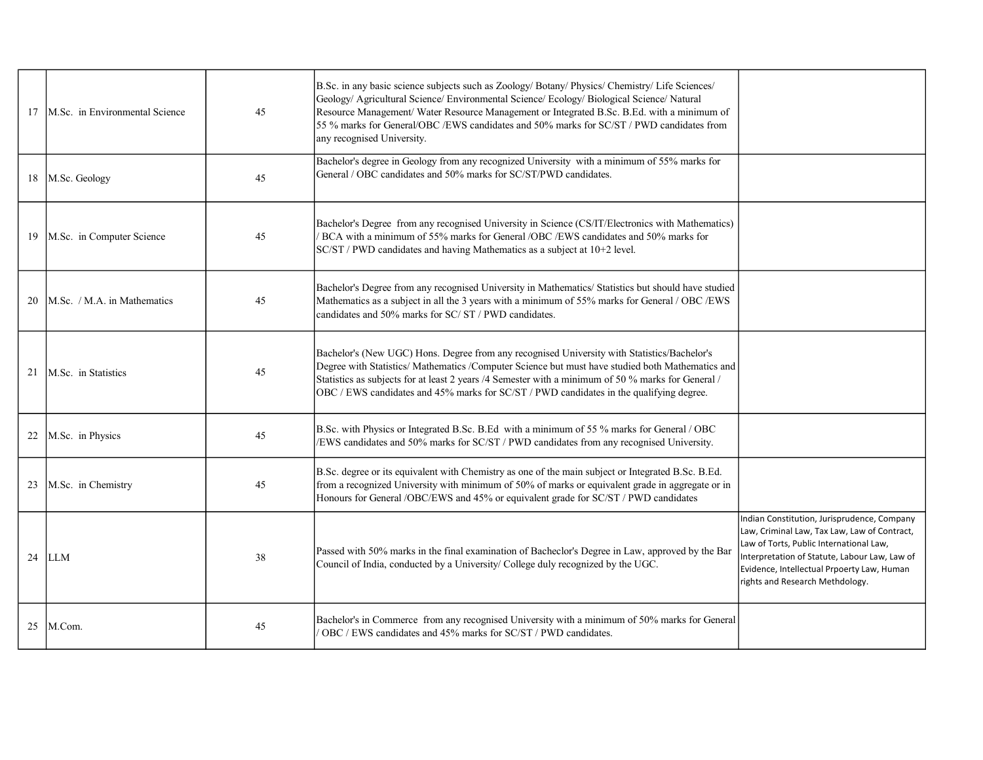| 17 | M.Sc. in Environmental Science | 45 | B.Sc. in any basic science subjects such as Zoology/ Botany/ Physics/ Chemistry/ Life Sciences/<br>Geology/ Agricultural Science/ Environmental Science/ Ecology/ Biological Science/ Natural<br>Resource Management/ Water Resource Management or Integrated B.Sc. B.Ed. with a minimum of<br>55 % marks for General/OBC/EWS candidates and 50% marks for SC/ST/PWD candidates from<br>any recognised University. |                                                                                                                                                                                                                                                                          |
|----|--------------------------------|----|--------------------------------------------------------------------------------------------------------------------------------------------------------------------------------------------------------------------------------------------------------------------------------------------------------------------------------------------------------------------------------------------------------------------|--------------------------------------------------------------------------------------------------------------------------------------------------------------------------------------------------------------------------------------------------------------------------|
| 18 | M.Sc. Geology                  | 45 | Bachelor's degree in Geology from any recognized University with a minimum of 55% marks for<br>General / OBC candidates and 50% marks for SC/ST/PWD candidates.                                                                                                                                                                                                                                                    |                                                                                                                                                                                                                                                                          |
| 19 | M.Sc. in Computer Science      | 45 | Bachelor's Degree from any recognised University in Science (CS/IT/Electronics with Mathematics)<br>BCA with a minimum of 55% marks for General /OBC /EWS candidates and 50% marks for<br>SC/ST / PWD candidates and having Mathematics as a subject at 10+2 level.                                                                                                                                                |                                                                                                                                                                                                                                                                          |
| 20 | M.Sc. / M.A. in Mathematics    | 45 | Bachelor's Degree from any recognised University in Mathematics/ Statistics but should have studied<br>Mathematics as a subject in all the 3 years with a minimum of 55% marks for General / OBC /EWS<br>candidates and 50% marks for SC/ST/PWD candidates.                                                                                                                                                        |                                                                                                                                                                                                                                                                          |
| 21 | M.Sc. in Statistics            | 45 | Bachelor's (New UGC) Hons. Degree from any recognised University with Statistics/Bachelor's<br>Degree with Statistics/ Mathematics /Computer Science but must have studied both Mathematics and<br>Statistics as subjects for at least 2 years /4 Semester with a minimum of 50 % marks for General /<br>OBC / EWS candidates and 45% marks for SC/ST / PWD candidates in the qualifying degree.                   |                                                                                                                                                                                                                                                                          |
| 22 | M.Sc. in Physics               | 45 | B.Sc. with Physics or Integrated B.Sc. B.Ed with a minimum of 55 % marks for General / OBC<br>/EWS candidates and 50% marks for SC/ST / PWD candidates from any recognised University.                                                                                                                                                                                                                             |                                                                                                                                                                                                                                                                          |
| 23 | M.Sc. in Chemistry             | 45 | B.Sc. degree or its equivalent with Chemistry as one of the main subject or Integrated B.Sc. B.Ed.<br>from a recognized University with minimum of 50% of marks or equivalent grade in aggregate or in<br>Honours for General /OBC/EWS and 45% or equivalent grade for SC/ST / PWD candidates                                                                                                                      |                                                                                                                                                                                                                                                                          |
| 24 | <b>LLM</b>                     | 38 | Passed with 50% marks in the final examination of Bacheclor's Degree in Law, approved by the Bar<br>Council of India, conducted by a University/ College duly recognized by the UGC.                                                                                                                                                                                                                               | Indian Constitution, Jurisprudence, Company<br>Law, Criminal Law, Tax Law, Law of Contract,<br>Law of Torts, Public International Law,<br>Interpretation of Statute, Labour Law, Law of<br>Evidence, Intellectual Prpoerty Law, Human<br>rights and Research Methdology. |
| 25 | M.Com.                         | 45 | Bachelor's in Commerce from any recognised University with a minimum of 50% marks for General<br>'OBC / EWS candidates and 45% marks for SC/ST / PWD candidates.                                                                                                                                                                                                                                                   |                                                                                                                                                                                                                                                                          |